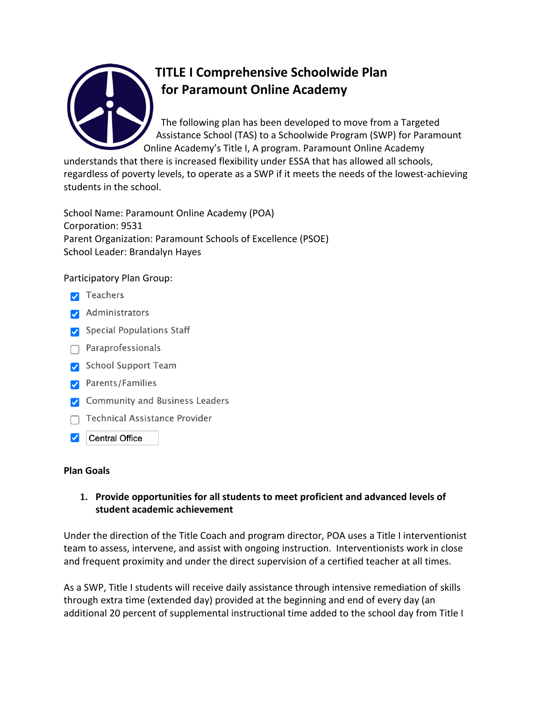

# **TITLE I Comprehensive Schoolwide Plan for Paramount Online Academy**

The following plan has been developed to move from a Targeted Assistance School (TAS) to a Schoolwide Program (SWP) for Paramount Online Academy's Title I, A program. Paramount Online Academy

understands that there is increased flexibility under ESSA that has allowed all schools, regardless of poverty levels, to operate as a SWP if it meets the needs of the lowest-achieving students in the school.

School Name: Paramount Online Academy (POA) Corporation: 9531 Parent Organization: Paramount Schools of Excellence (PSOE) School Leader: Brandalyn Hayes

Participatory Plan Group:

- $\triangledown$  Teachers
- Administrators
- Special Populations Staff
- $\bigcap$  Paraprofessionals
- School Support Team
- Parents/Families
- Community and Business Leaders
- $\Box$  Technical Assistance Provider
- Central Office

#### **Plan Goals**

#### **1. Provide opportunities for all students to meet proficient and advanced levels of student academic achievement**

Under the direction of the Title Coach and program director, POA uses a Title I interventionist team to assess, intervene, and assist with ongoing instruction. Interventionists work in close and frequent proximity and under the direct supervision of a certified teacher at all times.

As a SWP, Title I students will receive daily assistance through intensive remediation of skills through extra time (extended day) provided at the beginning and end of every day (an additional 20 percent of supplemental instructional time added to the school day from Title I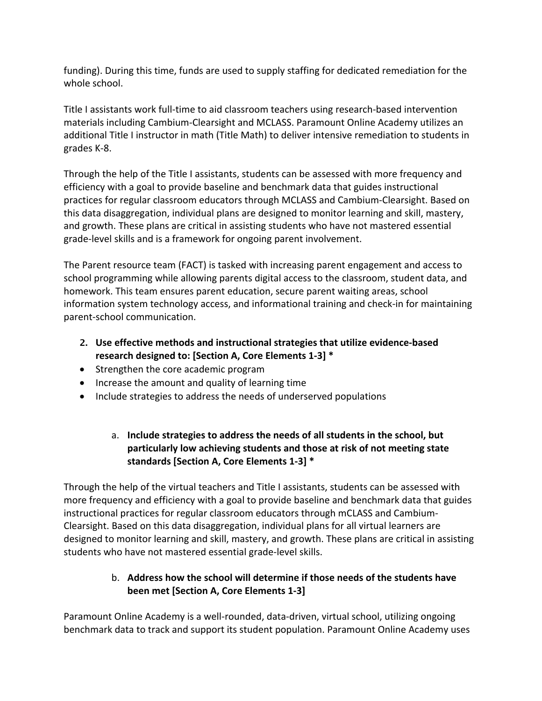funding). During this time, funds are used to supply staffing for dedicated remediation for the whole school.

Title I assistants work full-time to aid classroom teachers using research-based intervention materials including Cambium-Clearsight and MCLASS. Paramount Online Academy utilizes an additional Title I instructor in math (Title Math) to deliver intensive remediation to students in grades K-8.

Through the help of the Title I assistants, students can be assessed with more frequency and efficiency with a goal to provide baseline and benchmark data that guides instructional practices for regular classroom educators through MCLASS and Cambium-Clearsight. Based on this data disaggregation, individual plans are designed to monitor learning and skill, mastery, and growth. These plans are critical in assisting students who have not mastered essential grade-level skills and is a framework for ongoing parent involvement.

The Parent resource team (FACT) is tasked with increasing parent engagement and access to school programming while allowing parents digital access to the classroom, student data, and homework. This team ensures parent education, secure parent waiting areas, school information system technology access, and informational training and check-in for maintaining parent-school communication.

- **2. Use effective methods and instructional strategies that utilize evidence-based research designed to: [Section A, Core Elements 1-3] \***
- Strengthen the core academic program
- Increase the amount and quality of learning time
- Include strategies to address the needs of underserved populations

# a. **Include strategies to address the needs of all students in the school, but particularly low achieving students and those at risk of not meeting state standards [Section A, Core Elements 1-3] \***

Through the help of the virtual teachers and Title I assistants, students can be assessed with more frequency and efficiency with a goal to provide baseline and benchmark data that guides instructional practices for regular classroom educators through mCLASS and Cambium-Clearsight. Based on this data disaggregation, individual plans for all virtual learners are designed to monitor learning and skill, mastery, and growth. These plans are critical in assisting students who have not mastered essential grade-level skills.

# b. **Address how the school will determine if those needs of the students have been met [Section A, Core Elements 1-3]**

Paramount Online Academy is a well-rounded, data-driven, virtual school, utilizing ongoing benchmark data to track and support its student population. Paramount Online Academy uses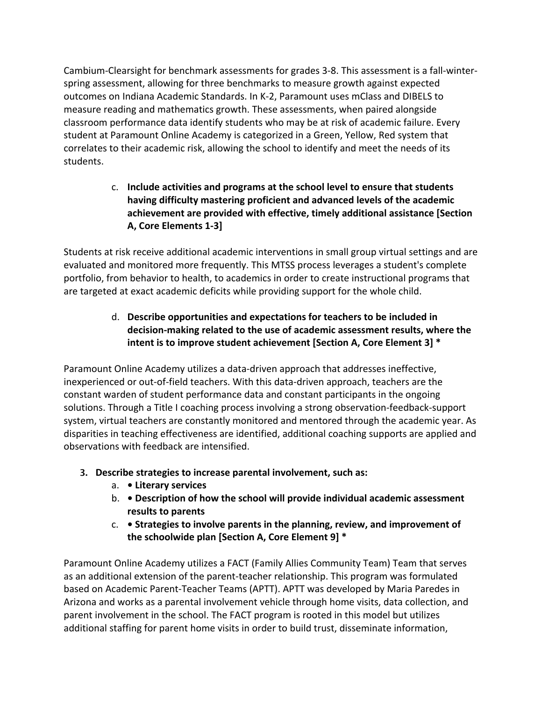Cambium-Clearsight for benchmark assessments for grades 3-8. This assessment is a fall-winterspring assessment, allowing for three benchmarks to measure growth against expected outcomes on Indiana Academic Standards. In K-2, Paramount uses mClass and DIBELS to measure reading and mathematics growth. These assessments, when paired alongside classroom performance data identify students who may be at risk of academic failure. Every student at Paramount Online Academy is categorized in a Green, Yellow, Red system that correlates to their academic risk, allowing the school to identify and meet the needs of its students.

# c. **Include activities and programs at the school level to ensure that students having difficulty mastering proficient and advanced levels of the academic achievement are provided with effective, timely additional assistance [Section A, Core Elements 1-3]**

Students at risk receive additional academic interventions in small group virtual settings and are evaluated and monitored more frequently. This MTSS process leverages a student's complete portfolio, from behavior to health, to academics in order to create instructional programs that are targeted at exact academic deficits while providing support for the whole child.

# d. **Describe opportunities and expectations for teachers to be included in decision-making related to the use of academic assessment results, where the intent is to improve student achievement [Section A, Core Element 3] \***

Paramount Online Academy utilizes a data-driven approach that addresses ineffective, inexperienced or out-of-field teachers. With this data-driven approach, teachers are the constant warden of student performance data and constant participants in the ongoing solutions. Through a Title I coaching process involving a strong observation-feedback-support system, virtual teachers are constantly monitored and mentored through the academic year. As disparities in teaching effectiveness are identified, additional coaching supports are applied and observations with feedback are intensified.

- **3. Describe strategies to increase parental involvement, such as:** 
	- a.  **Literary services**
	- b.  **Description of how the school will provide individual academic assessment results to parents**
	- c.  **Strategies to involve parents in the planning, review, and improvement of the schoolwide plan [Section A, Core Element 9] \***

Paramount Online Academy utilizes a FACT (Family Allies Community Team) Team that serves as an additional extension of the parent-teacher relationship. This program was formulated based on Academic Parent-Teacher Teams (APTT). APTT was developed by Maria Paredes in Arizona and works as a parental involvement vehicle through home visits, data collection, and parent involvement in the school. The FACT program is rooted in this model but utilizes additional staffing for parent home visits in order to build trust, disseminate information,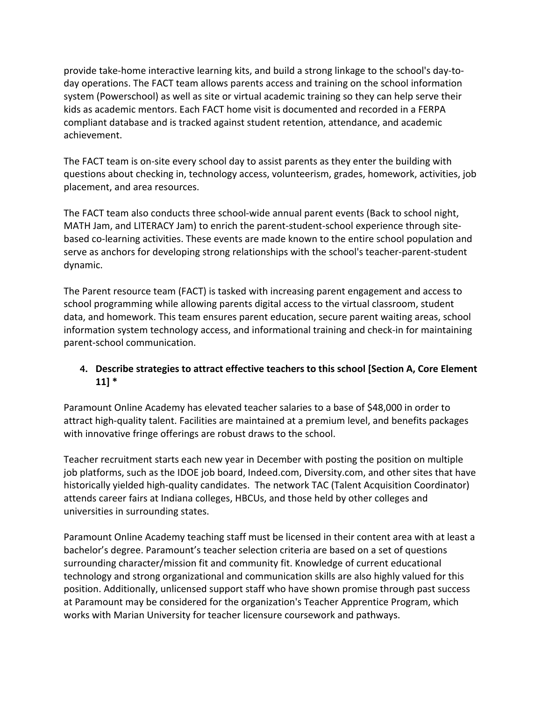provide take-home interactive learning kits, and build a strong linkage to the school's day-today operations. The FACT team allows parents access and training on the school information system (Powerschool) as well as site or virtual academic training so they can help serve their kids as academic mentors. Each FACT home visit is documented and recorded in a FERPA compliant database and is tracked against student retention, attendance, and academic achievement.

The FACT team is on-site every school day to assist parents as they enter the building with questions about checking in, technology access, volunteerism, grades, homework, activities, job placement, and area resources.

The FACT team also conducts three school-wide annual parent events (Back to school night, MATH Jam, and LITERACY Jam) to enrich the parent-student-school experience through sitebased co-learning activities. These events are made known to the entire school population and serve as anchors for developing strong relationships with the school's teacher-parent-student dynamic.

The Parent resource team (FACT) is tasked with increasing parent engagement and access to school programming while allowing parents digital access to the virtual classroom, student data, and homework. This team ensures parent education, secure parent waiting areas, school information system technology access, and informational training and check-in for maintaining parent-school communication.

#### **4. Describe strategies to attract effective teachers to this school [Section A, Core Element 11] \***

Paramount Online Academy has elevated teacher salaries to a base of \$48,000 in order to attract high-quality talent. Facilities are maintained at a premium level, and benefits packages with innovative fringe offerings are robust draws to the school.

Teacher recruitment starts each new year in December with posting the position on multiple job platforms, such as the IDOE job board, Indeed.com, Diversity.com, and other sites that have historically yielded high-quality candidates. The network TAC (Talent Acquisition Coordinator) attends career fairs at Indiana colleges, HBCUs, and those held by other colleges and universities in surrounding states.

Paramount Online Academy teaching staff must be licensed in their content area with at least a bachelor's degree. Paramount's teacher selection criteria are based on a set of questions surrounding character/mission fit and community fit. Knowledge of current educational technology and strong organizational and communication skills are also highly valued for this position. Additionally, unlicensed support staff who have shown promise through past success at Paramount may be considered for the organization's Teacher Apprentice Program, which works with Marian University for teacher licensure coursework and pathways.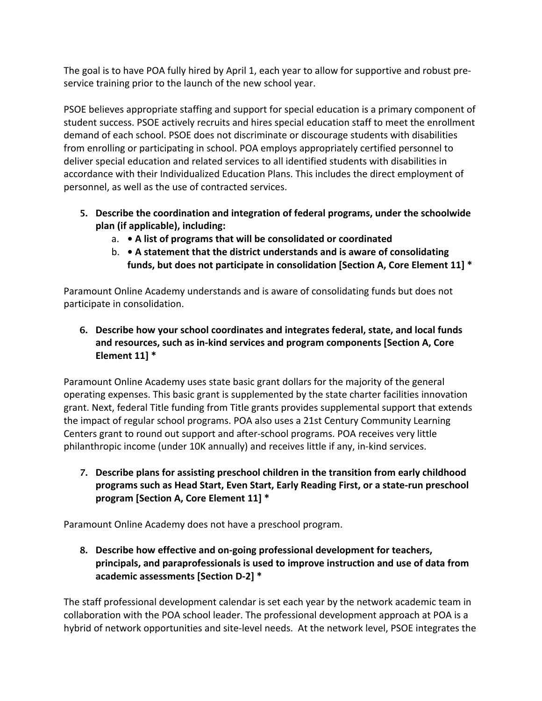The goal is to have POA fully hired by April 1, each year to allow for supportive and robust preservice training prior to the launch of the new school year.

PSOE believes appropriate staffing and support for special education is a primary component of student success. PSOE actively recruits and hires special education staff to meet the enrollment demand of each school. PSOE does not discriminate or discourage students with disabilities from enrolling or participating in school. POA employs appropriately certified personnel to deliver special education and related services to all identified students with disabilities in accordance with their Individualized Education Plans. This includes the direct employment of personnel, as well as the use of contracted services.

- **5. Describe the coordination and integration of federal programs, under the schoolwide plan (if applicable), including:** 
	- a.  **A list of programs that will be consolidated or coordinated**
	- b.  **A statement that the district understands and is aware of consolidating funds, but does not participate in consolidation [Section A, Core Element 11] \***

Paramount Online Academy understands and is aware of consolidating funds but does not participate in consolidation.

**6. Describe how your school coordinates and integrates federal, state, and local funds and resources, such as in-kind services and program components [Section A, Core Element 11] \***

Paramount Online Academy uses state basic grant dollars for the majority of the general operating expenses. This basic grant is supplemented by the state charter facilities innovation grant. Next, federal Title funding from Title grants provides supplemental support that extends the impact of regular school programs. POA also uses a 21st Century Community Learning Centers grant to round out support and after-school programs. POA receives very little philanthropic income (under 10K annually) and receives little if any, in-kind services.

**7. Describe plans for assisting preschool children in the transition from early childhood programs such as Head Start, Even Start, Early Reading First, or a state-run preschool program [Section A, Core Element 11] \***

Paramount Online Academy does not have a preschool program.

**8. Describe how effective and on-going professional development for teachers, principals, and paraprofessionals is used to improve instruction and use of data from academic assessments [Section D-2] \***

The staff professional development calendar is set each year by the network academic team in collaboration with the POA school leader. The professional development approach at POA is a hybrid of network opportunities and site-level needs. At the network level, PSOE integrates the